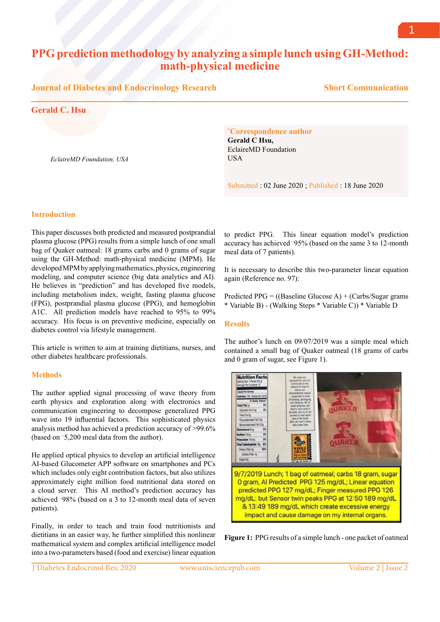# **PPG prediction methodology by analyzing a simple lunch using GH-Method: math-physical medicine**

#### **Journal of Diabetes and Endocrinology Research**

**Short Communication**

## **Gerald C. Hsu**

*EclaireMD Foundation, USA*

#### **\* Correspondence author**

**Gerald C Hsu,**  EclaireMD Foundation USA

Submitted : 02 June 2020 ; Published : 18 June 2020

#### **Introduction**

This paper discusses both predicted and measured postprandial plasma glucose (PPG) results from a simple lunch of one small bag of Quaker oatmeal: 18 grams carbs and 0 grams of sugar using the GH-Method: math-physical medicine (MPM). He developed MPM by applying mathematics, physics, engineering modeling, and computer science (big data analytics and AI). He believes in "prediction" and has developed five models, including metabolism index, weight, fasting plasma glucose (FPG), postprandial plasma glucose (PPG), and hemoglobin A1C. All prediction models have reached to 95% to 99% accuracy. His focus is on preventive medicine, especially on diabetes control via lifestyle management.

This article is written to aim at training dietitians, nurses, and other diabetes healthcare professionals.

#### **Methods**

The author applied signal processing of wave theory from earth physics and exploration along with electronics and communication engineering to decompose generalized PPG wave into 19 influential factors. This sophisticated physics analysis method has achieved a prediction accuracy of >99.6% (based on ~ 5,200 meal data from the author).

He applied optical physics to develop an artificial intelligence AI-based Glucometer APP software on smartphones and PCs which includes only eight contribution factors, but also utilizes approximately eight million food nutritional data stored on a cloud server. This AI method's prediction accuracy has achieved ~ 98% (based on a 3 to 12-month meal data of seven patients).

Finally, in order to teach and train food nutritionists and dietitians in an easier way, he further simplified this nonlinear mathematical system and complex artificial intelligence model into a two-parameters based (food and exercise) linear equation

to predict PPG. This linear equation model's prediction accuracy has achieved ~ 95% (based on the same 3 to 12-month meal data of 7 patients).

It is necessary to describe this two-parameter linear equation again (Reference no. 97):

Predicted PPG =  $((Baseline Glucose A) + (Carbs/Sugar grams$ \* Variable B) - (Walking Steps \* Variable C)) \* Variable D

#### **Results**

The author's lunch on 09/07/2019 was a simple meal which contained a small bag of Quaker oatmeal (18 grams of carbs and 0 gram of sugar, see Figure 1).



**Figure 1:** PPG results of a simple lunch - one packet of oatmeal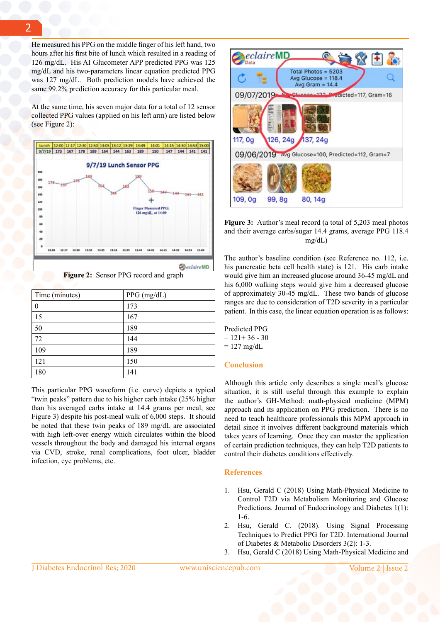He measured his PPG on the middle finger of his left hand, two hours after his first bite of lunch which resulted in a reading of 126 mg/dL. His AI Glucometer APP predicted PPG was 125 mg/dL and his two-parameters linear equation predicted PPG was 127 mg/dL. Both prediction models have achieved the same 99.2% prediction accuracy for this particular meal.

At the same time, his seven major data for a total of 12 sensor collected PPG values (applied on his left arm) are listed below (see Figure 2):



**Figure 2:** Sensor PPG record and graph

| Time (minutes) | PPG (mg/dL) |
|----------------|-------------|
| 0              | 173         |
| 15             | 167         |
| 50             | 189         |
| 72             | 144         |
| 109            | 189         |
| 121            | 150         |
| 180            | 141         |

This particular PPG waveform (i.e. curve) depicts a typical "twin peaks" pattern due to his higher carb intake (25% higher than his averaged carbs intake at 14.4 grams per meal, see Figure 3) despite his post-meal walk of 6,000 steps. It should be noted that these twin peaks of 189 mg/dL are associated with high left-over energy which circulates within the blood vessels throughout the body and damaged his internal organs via CVD, stroke, renal complications, foot ulcer, bladder infection, eye problems, etc.



**Figure 3:** Author's meal record (a total of 5,203 meal photos and their average carbs/sugar 14.4 grams, average PPG 118.4 mg/dL)

The author's baseline condition (see Reference no. 112, i.e. his pancreatic beta cell health state) is 121. His carb intake would give him an increased glucose around 36-45 mg/dL and his 6,000 walking steps would give him a decreased glucose of approximately 30-45 mg/dL. These two bands of glucose ranges are due to consideration of T2D severity in a particular patient. In this case, the linear equation operation is as follows:

Predicted PPG  $= 121 + 36 - 30$  $= 127$  mg/dL

### **Conclusion**

Although this article only describes a single meal's glucose situation, it is still useful through this example to explain the author's GH-Method: math-physical medicine (MPM) approach and its application on PPG prediction. There is no need to teach healthcare professionals this MPM approach in detail since it involves different background materials which takes years of learning. Once they can master the application of certain prediction techniques, they can help T2D patients to control their diabetes conditions effectively.

### **References**

- 1. Hsu, Gerald C (2018) Using Math-Physical Medicine to Control T2D via Metabolism Monitoring and Glucose Predictions. Journal of Endocrinology and Diabetes 1(1): 1-6.
- 2. Hsu, Gerald C. (2018). Using Signal Processing Techniques to Predict PPG for T2D. International Journal of Diabetes & Metabolic Disorders 3(2): 1-3.
- 3. Hsu, Gerald C (2018) Using Math-Physical Medicine and